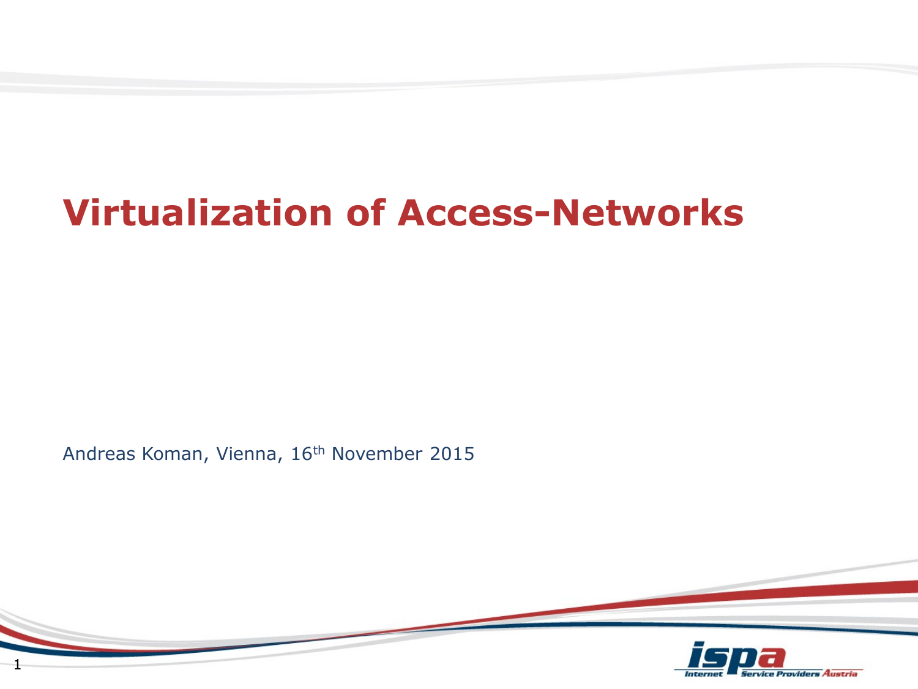# **Virtualization of Access-Networks**

Andreas Koman, Vienna, 16th November 2015

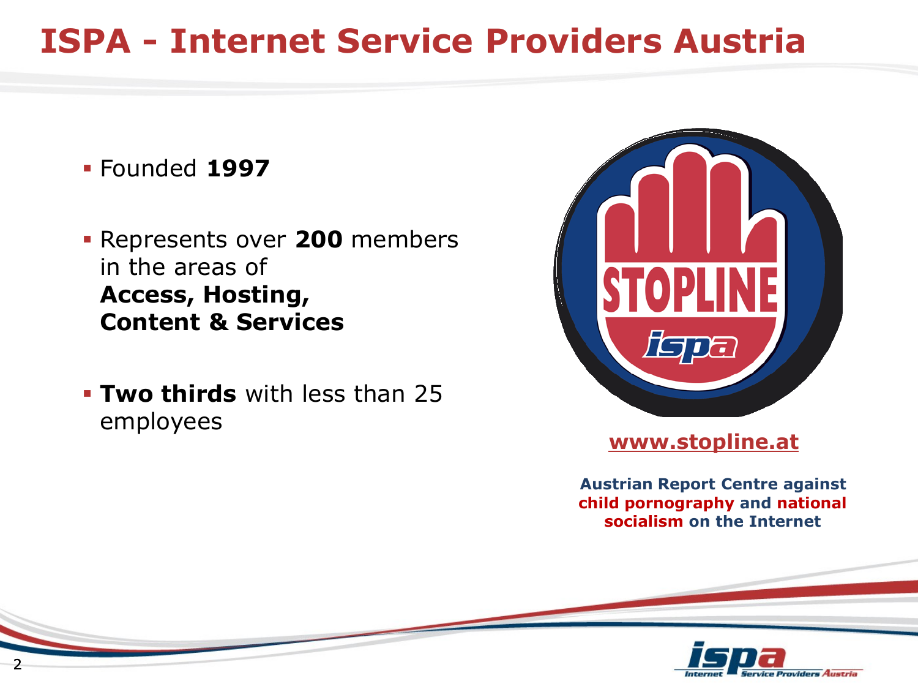## **ISPA - Internet Service Providers Austria**

- Founded **1997**
- Represents over **200** members in the areas of **Access, Hosting, Content & Services**
- **Two thirds** with less than 25 employees



#### **www.stopline.at**

**Austrian Report Centre against child pornography and national socialism on the Internet**

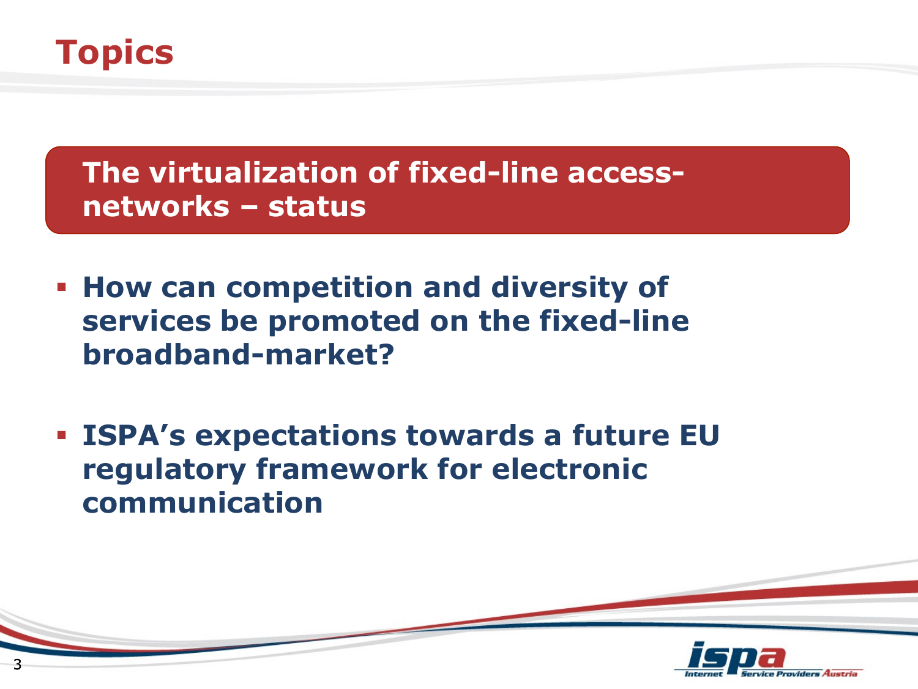## **Topics**

 **The virtualization of fixed-line accessnetworks – status**

- **How can competition and diversity of services be promoted on the fixed-line broadband-market?**
- **ISPA's expectations towards a future EU regulatory framework for electronic communication**

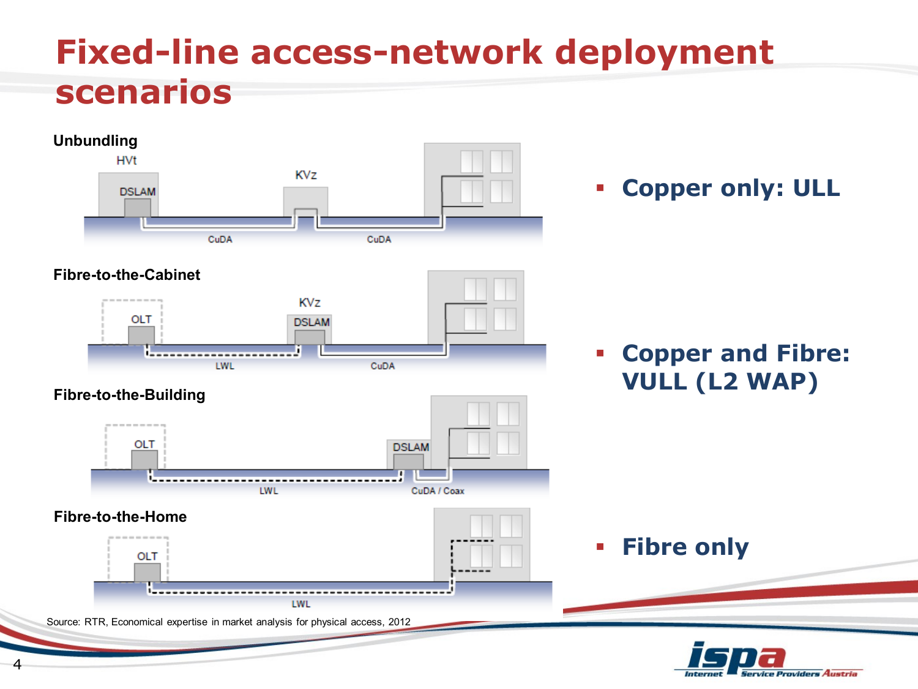## **Fixed-line access-network deployment scenarios**

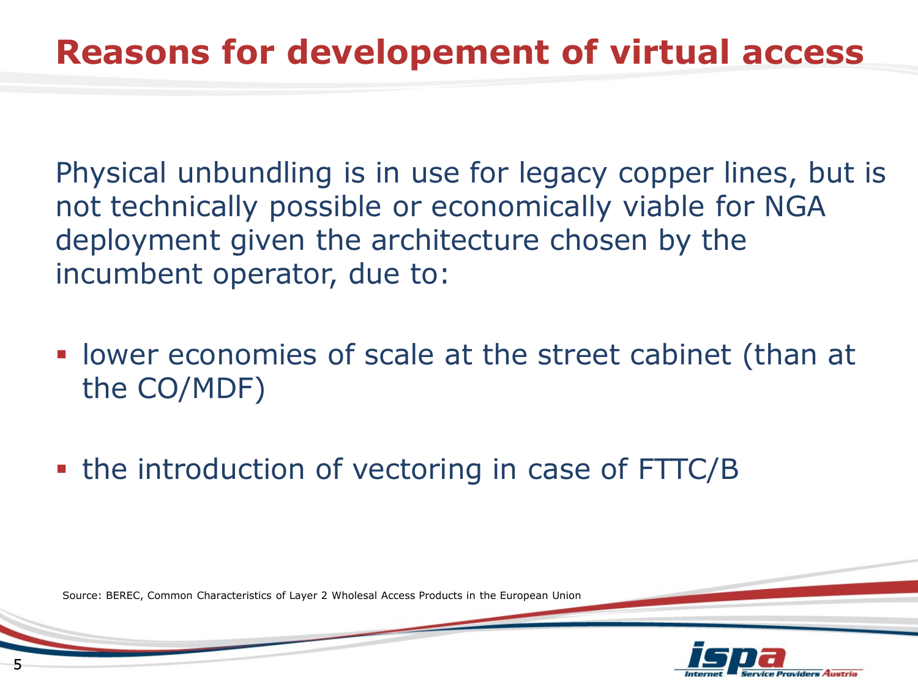Physical unbundling is in use for legacy copper lines, but is not technically possible or economically viable for NGA deployment given the architecture chosen by the incumbent operator, due to:

- lower economies of scale at the street cabinet (than at the CO/MDF)
- the introduction of vectoring in case of FTTC/B

Source: BEREC, Common Characteristics of Layer 2 Wholesal Access Products in the European Union

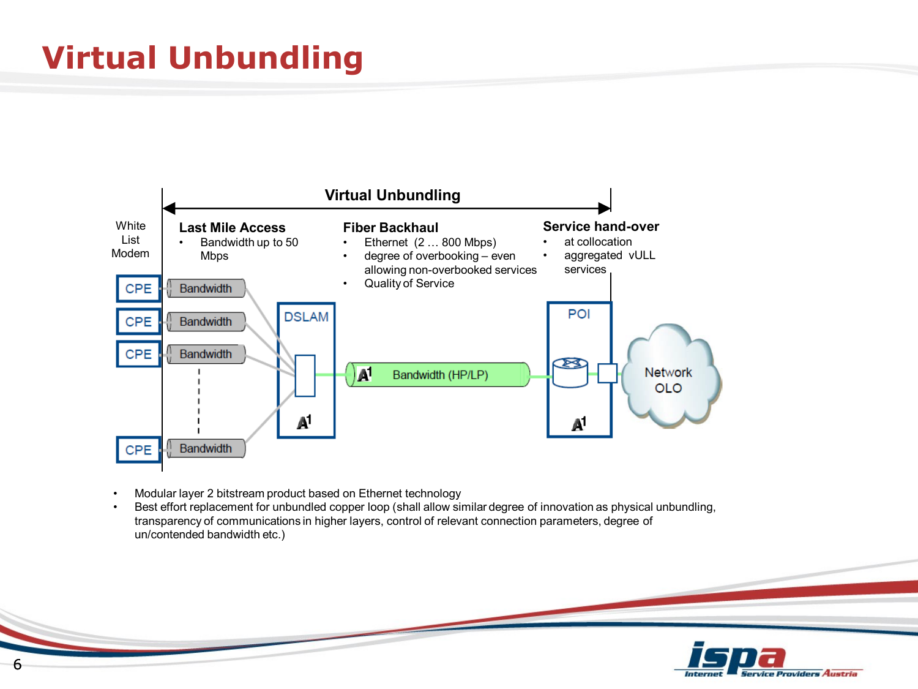## **Virtual Unbundling**



- Modular layer 2 bitstream product based on Ethernet technology
- Best effort replacement for unbundled copper loop (shall allow similar degree of innovation as physical unbundling, transparency of communications in higher layers, control of relevant connection parameters, degree of un/contended bandwidth etc.)

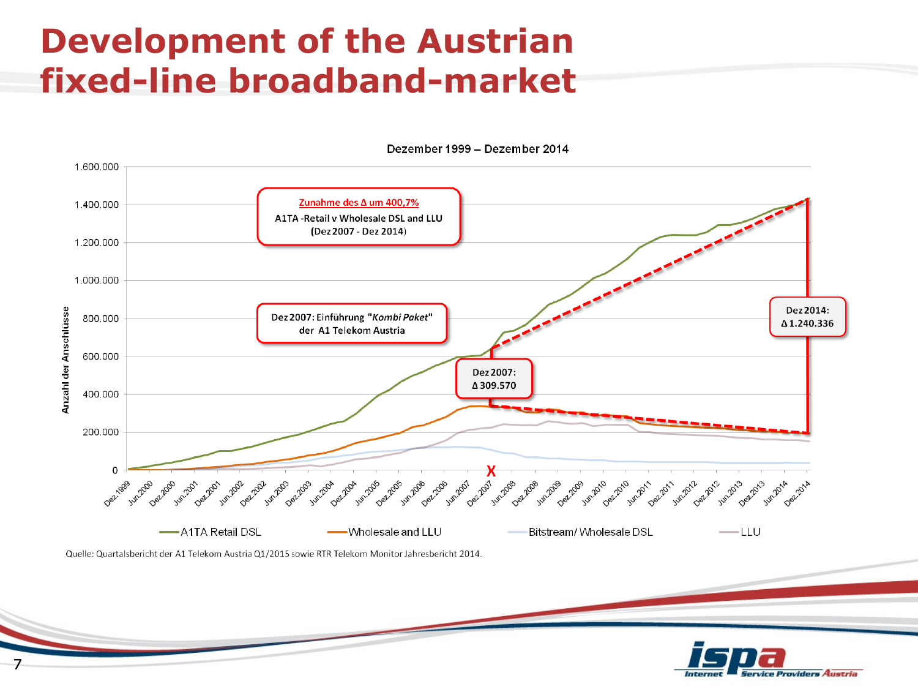## **Development of the Austrian fixed-line broadband-market**



Dezember 1999 - Dezember 2014

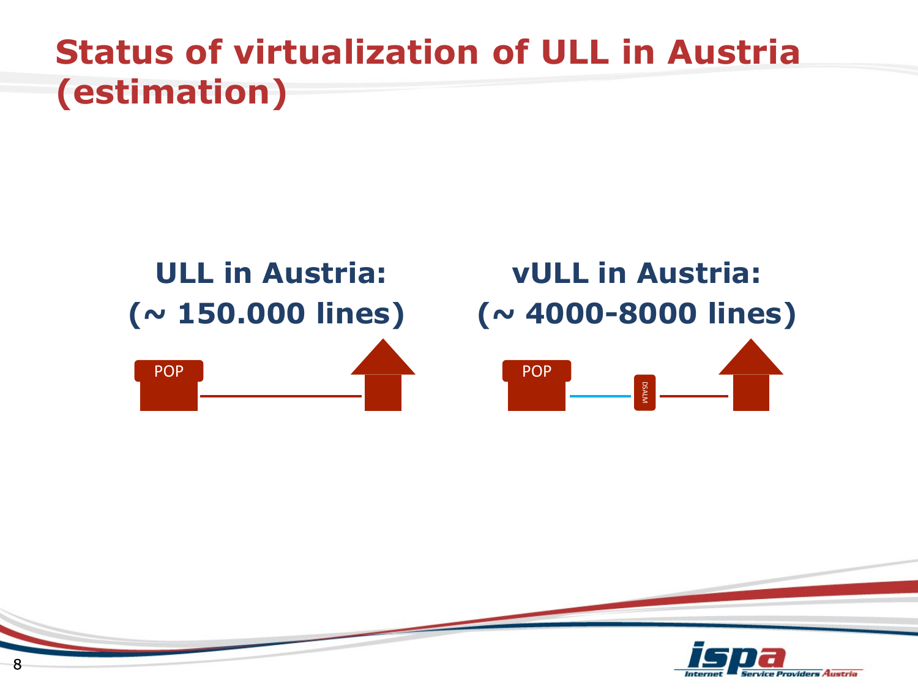## **Status of virtualization of ULL in Austria (estimation)**



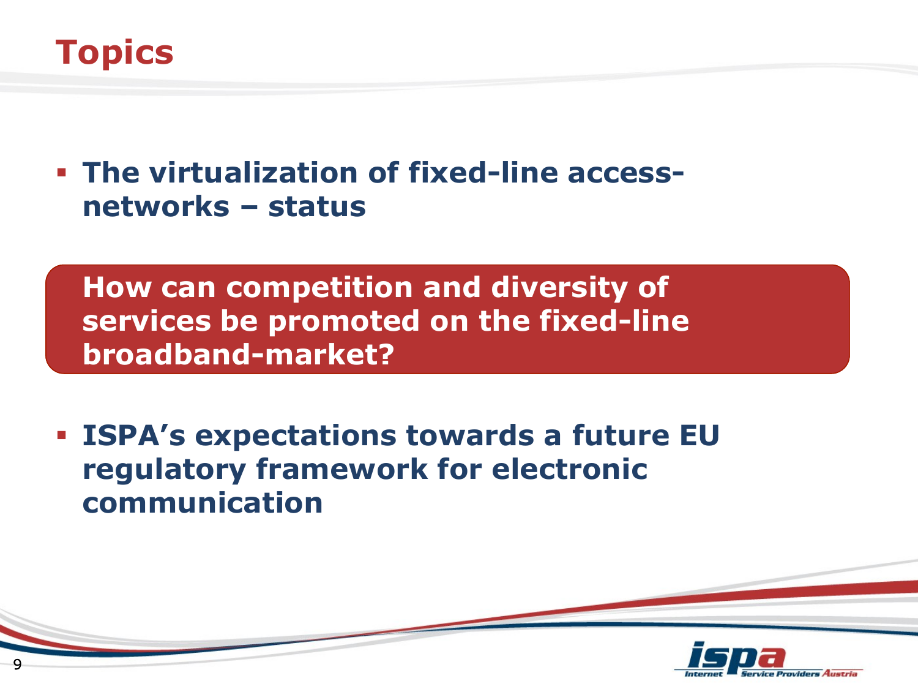

 **The virtualization of fixed-line accessnetworks – status**

 **How can competition and diversity of services be promoted on the fixed-line broadband-market?**

 **ISPA's expectations towards a future EU regulatory framework for electronic communication**

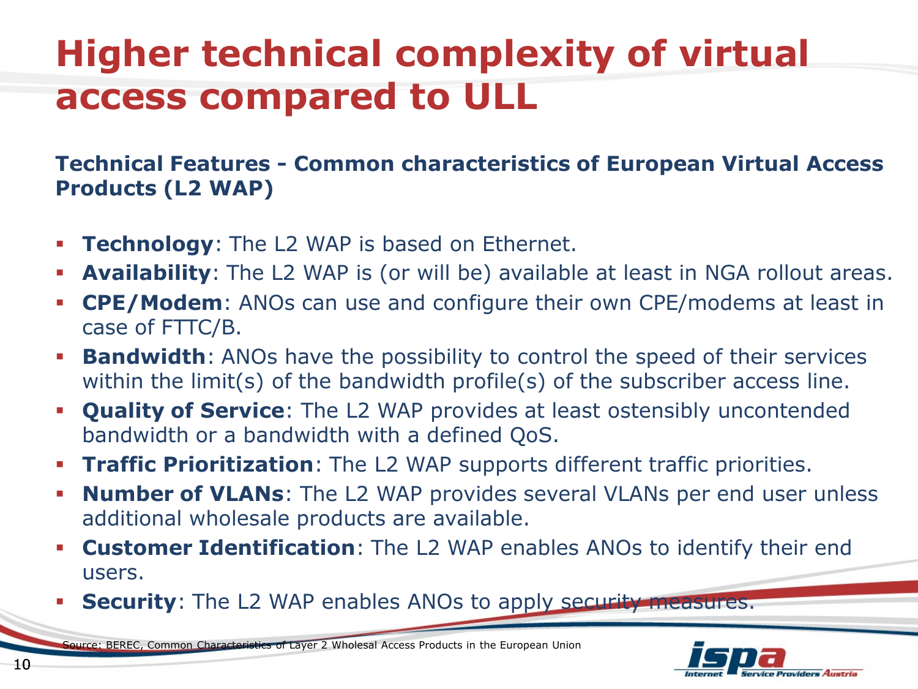# **Higher technical complexity of virtual access compared to ULL**

#### **Technical Features - Common characteristics of European Virtual Access Products (L2 WAP)**

- **Technology:** The L2 WAP is based on Ethernet.
- **Availability**: The L2 WAP is (or will be) available at least in NGA rollout areas.
- **CPE/Modem**: ANOs can use and configure their own CPE/modems at least in case of FTTC/B.
- **Bandwidth**: ANOs have the possibility to control the speed of their services within the limit(s) of the bandwidth profile(s) of the subscriber access line.
- **Quality of Service**: The L2 WAP provides at least ostensibly uncontended bandwidth or a bandwidth with a defined QoS.
- **Traffic Prioritization**: The L2 WAP supports different traffic priorities.
- **Number of VLANs**: The L2 WAP provides several VLANs per end user unless additional wholesale products are available.
- **Customer Identification**: The L2 WAP enables ANOs to identify their end users.
- **Security:** The L2 WAP enables ANOs to apply security measures.

Source: BEREC, Common Characteristics of Layer 2 Wholesal Access Products in the European Union

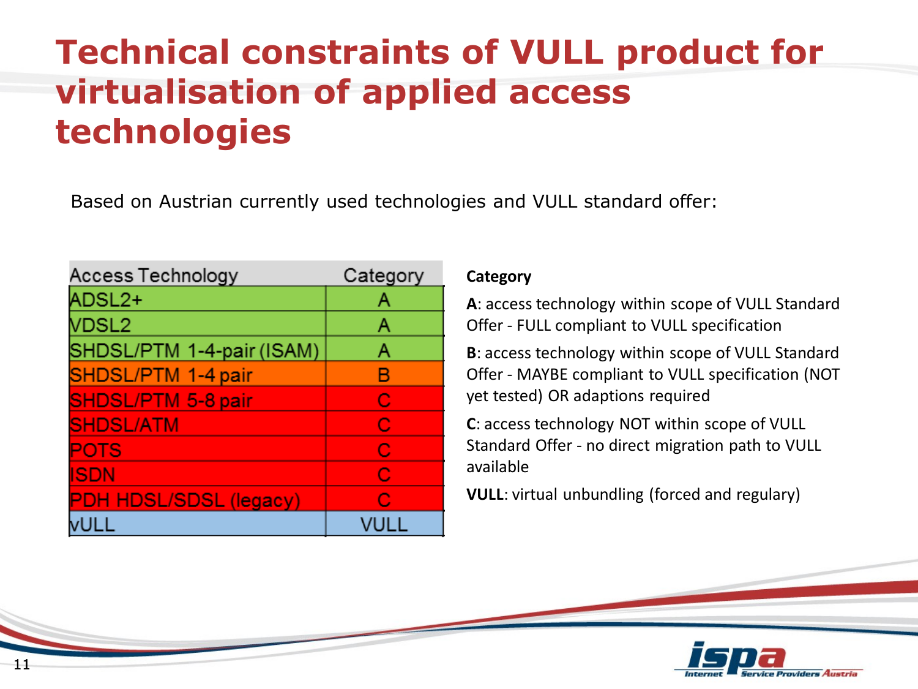## **Technical constraints of VULL product for virtualisation of applied access technologies**

Based on Austrian currently used technologies and VULL standard offer:

| Access Technology             | Category |
|-------------------------------|----------|
| ADSL2+                        | Α        |
| VDSL <sub>2</sub>             | Α        |
| SHDSL/PTM 1-4-pair (ISAM)     | Α        |
| SHDSL/PTM 1-4 pair            | B        |
| <b>SHDSL/PTM 5-8 pair</b>     | С        |
| <b>SHDSL/ATM</b>              | С        |
| <b>POTS</b>                   | C        |
| <b>ISDN</b>                   | C        |
| <b>PDH HDSL/SDSL (legacy)</b> | C        |
|                               |          |

#### **Category**

**A**: access technology within scope of VULL Standard Offer - FULL compliant to VULL specification

**B**: access technology within scope of VULL Standard Offer - MAYBE compliant to VULL specification (NOT yet tested) OR adaptions required

**C**: access technology NOT within scope of VULL Standard Offer - no direct migration path to VULL available

**VULL**: virtual unbundling (forced and regulary)

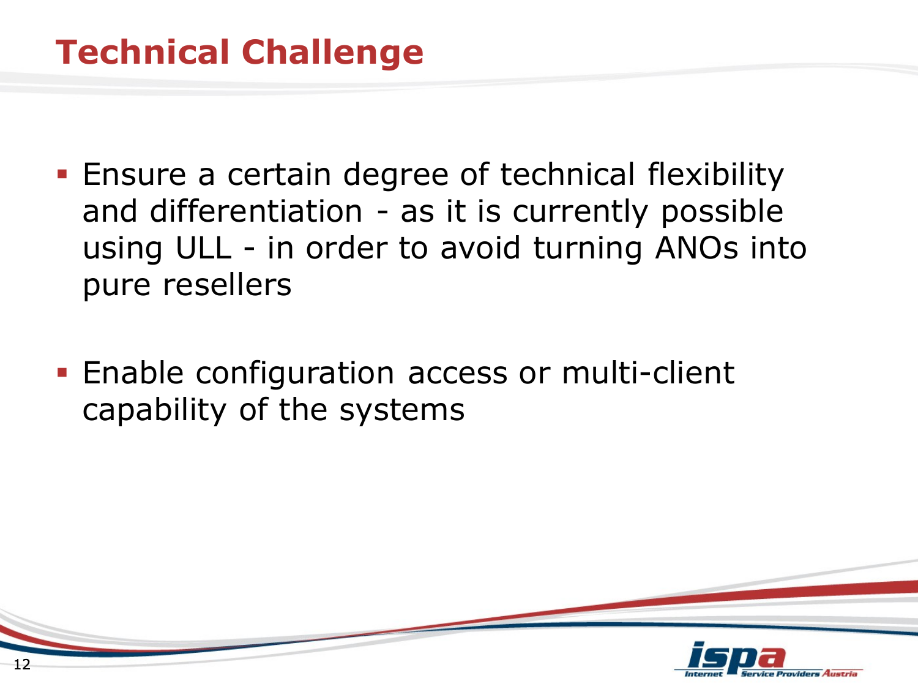- **Ensure a certain degree of technical flexibility** and differentiation - as it is currently possible using ULL - in order to avoid turning ANOs into pure resellers
- **Enable configuration access or multi-client** capability of the systems

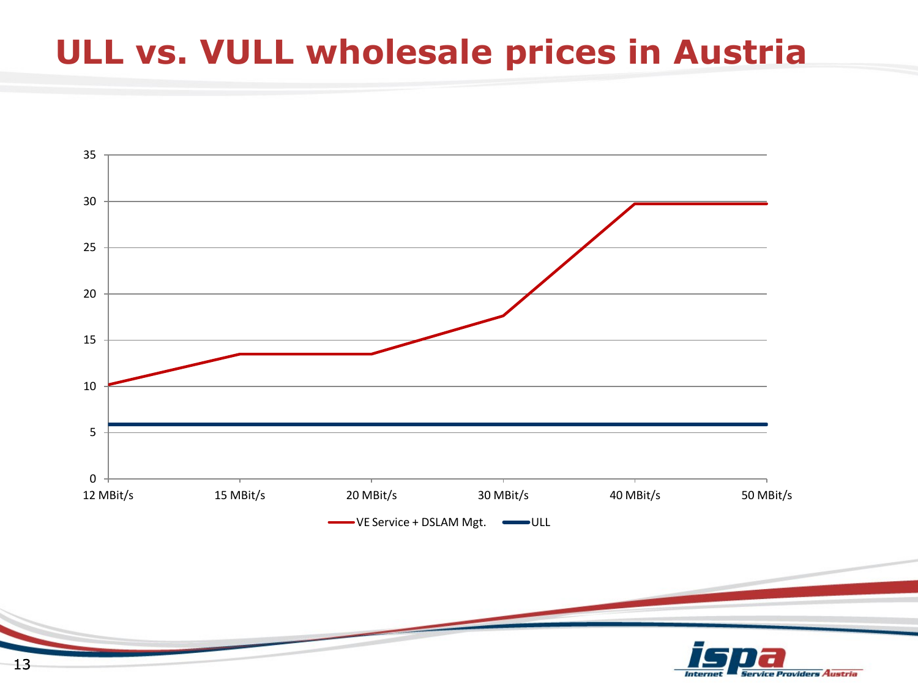### **ULL vs. VULL wholesale prices in Austria**



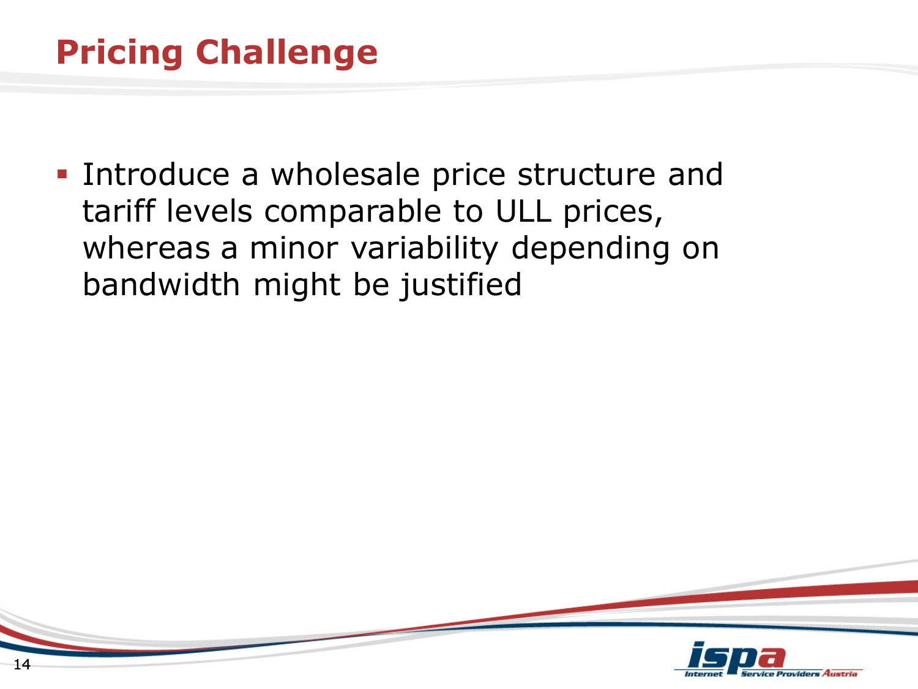**Introduce a wholesale price structure and** tariff levels comparable to ULL prices, whereas a minor variability depending on bandwidth might be justified

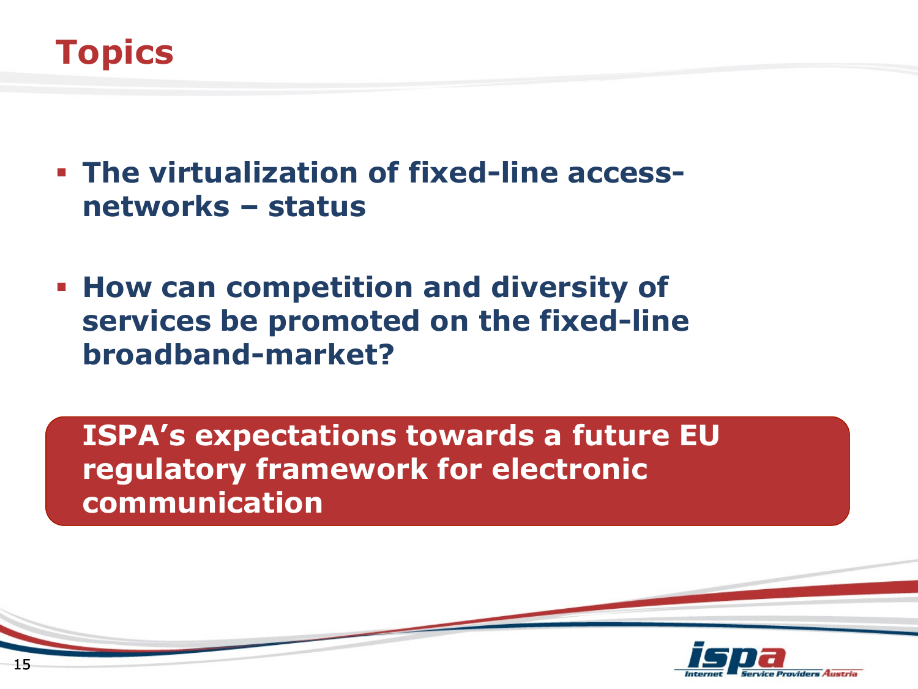

- **The virtualization of fixed-line accessnetworks – status**
- **How can competition and diversity of services be promoted on the fixed-line broadband-market?**

 **ISPA's expectations towards a future EU regulatory framework for electronic communication**

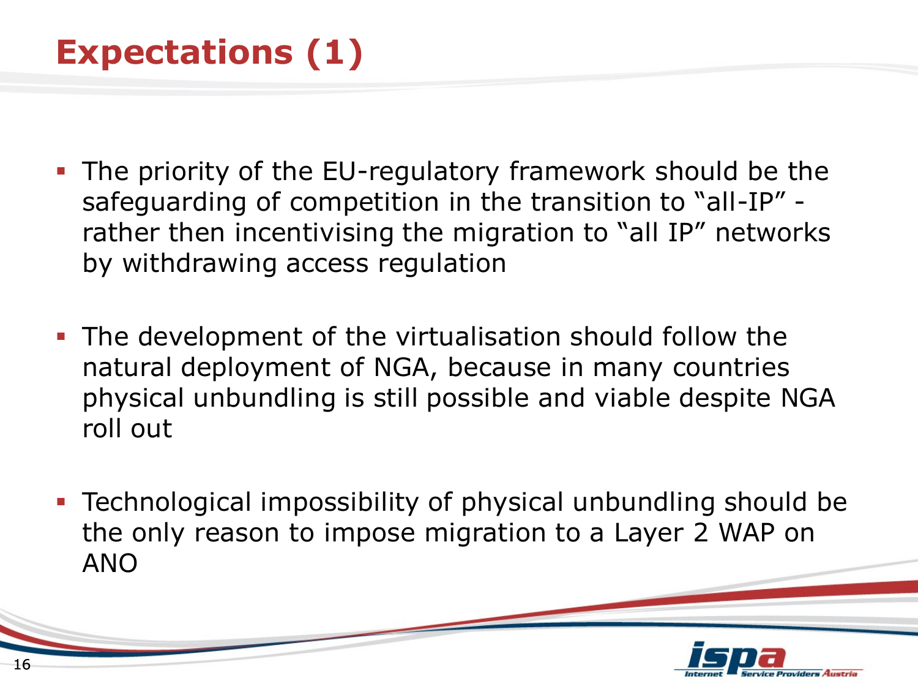## **Expectations (1)**

- The priority of the EU-regulatory framework should be the safeguarding of competition in the transition to "all-IP" rather then incentivising the migration to "all IP" networks by withdrawing access regulation
- **The development of the virtualisation should follow the** natural deployment of NGA, because in many countries physical unbundling is still possible and viable despite NGA roll out
- Technological impossibility of physical unbundling should be the only reason to impose migration to a Layer 2 WAP on ANO

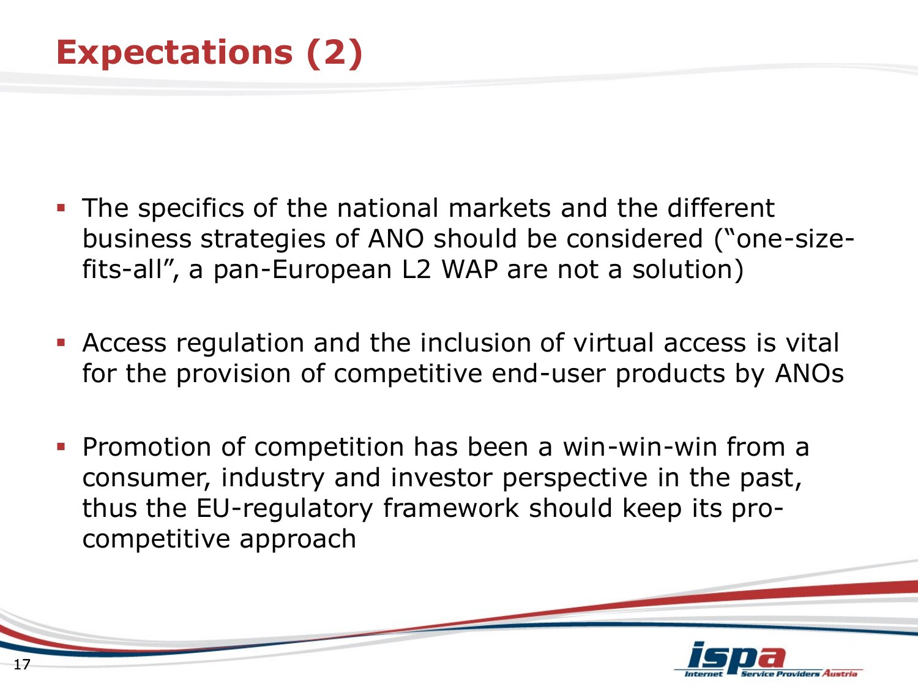- **The specifics of the national markets and the different** business strategies of ANO should be considered ("one-sizefits-all", a pan-European L2 WAP are not a solution)
- Access regulation and the inclusion of virtual access is vital for the provision of competitive end-user products by ANOs
- **Promotion of competition has been a win-win-win from a** consumer, industry and investor perspective in the past, thus the EU-regulatory framework should keep its procompetitive approach